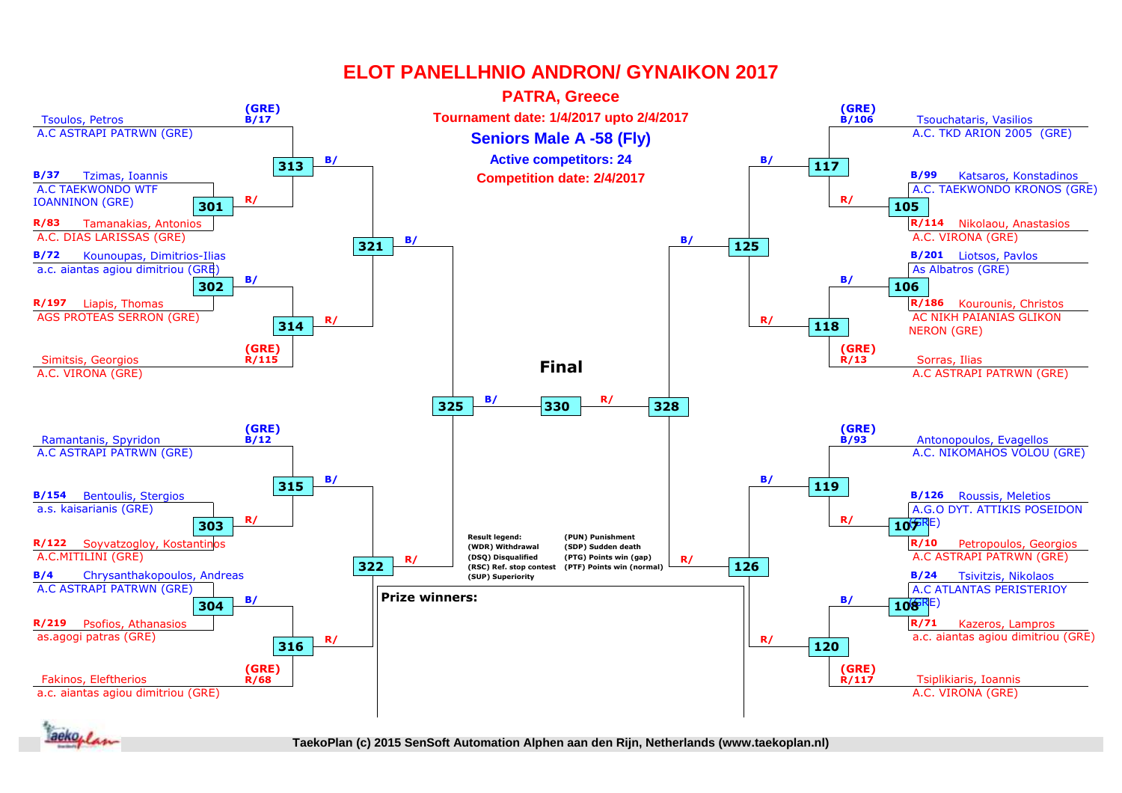

**1.** *<i><i>x* 

**1st rnd 2nd rnd 2nd rnd QF QF SF SF Final TaekoPlan (c) 2015 SenSoft Automation Alphen aan den Rijn, Netherlands (www.taekoplan.nl)**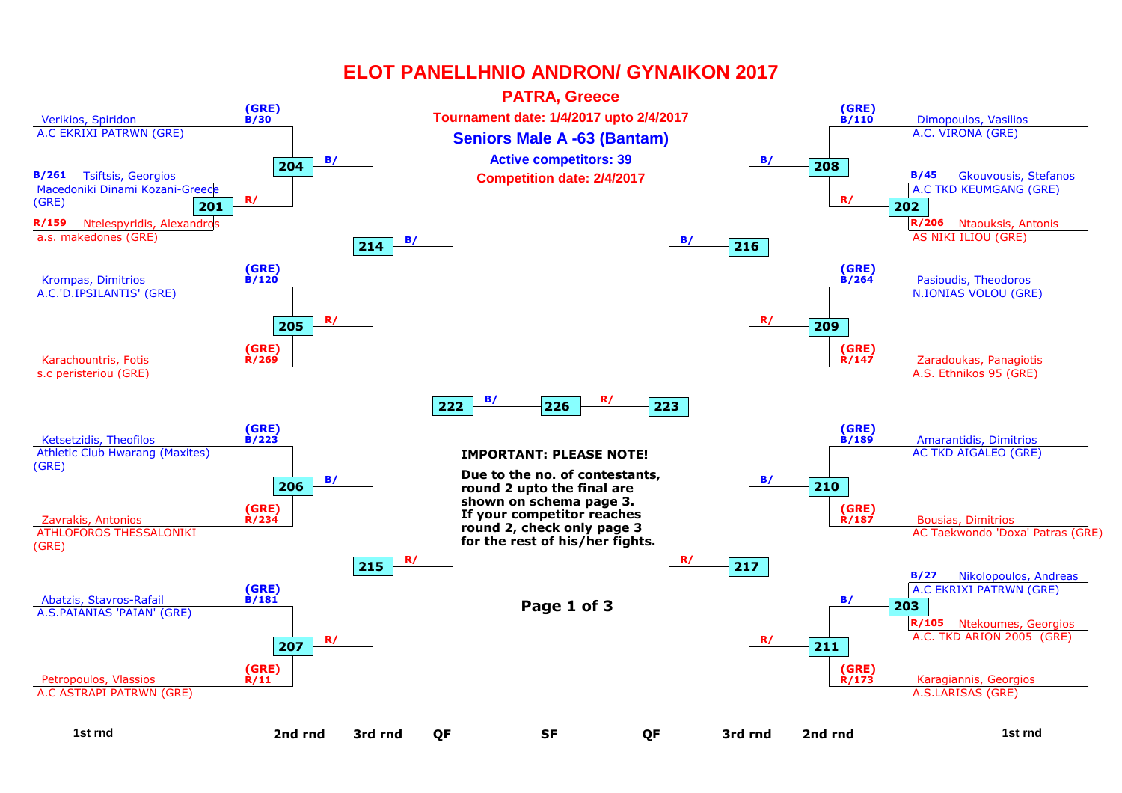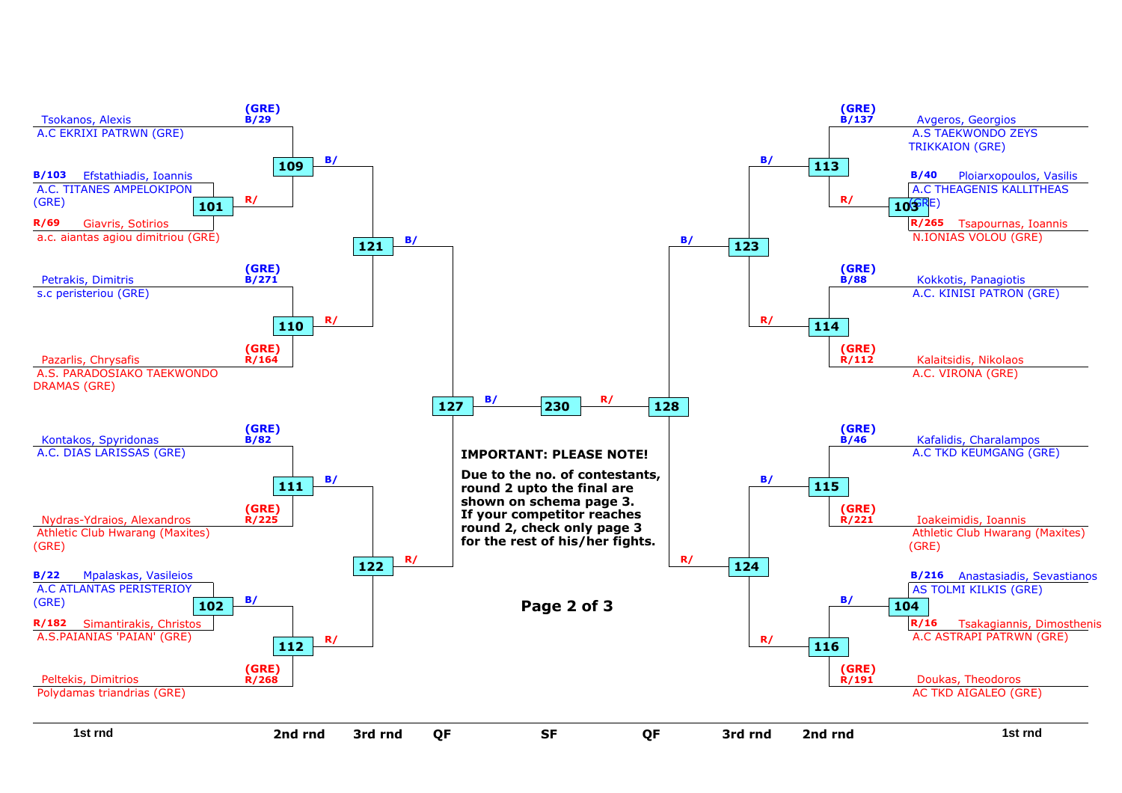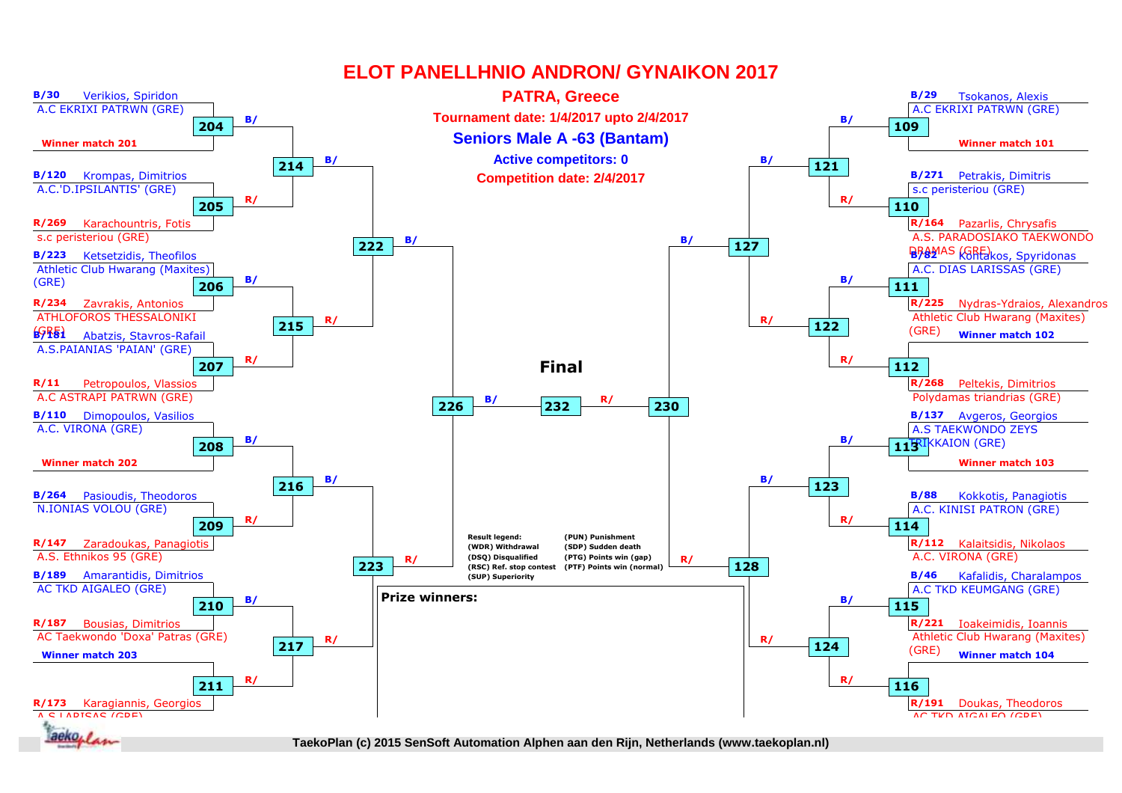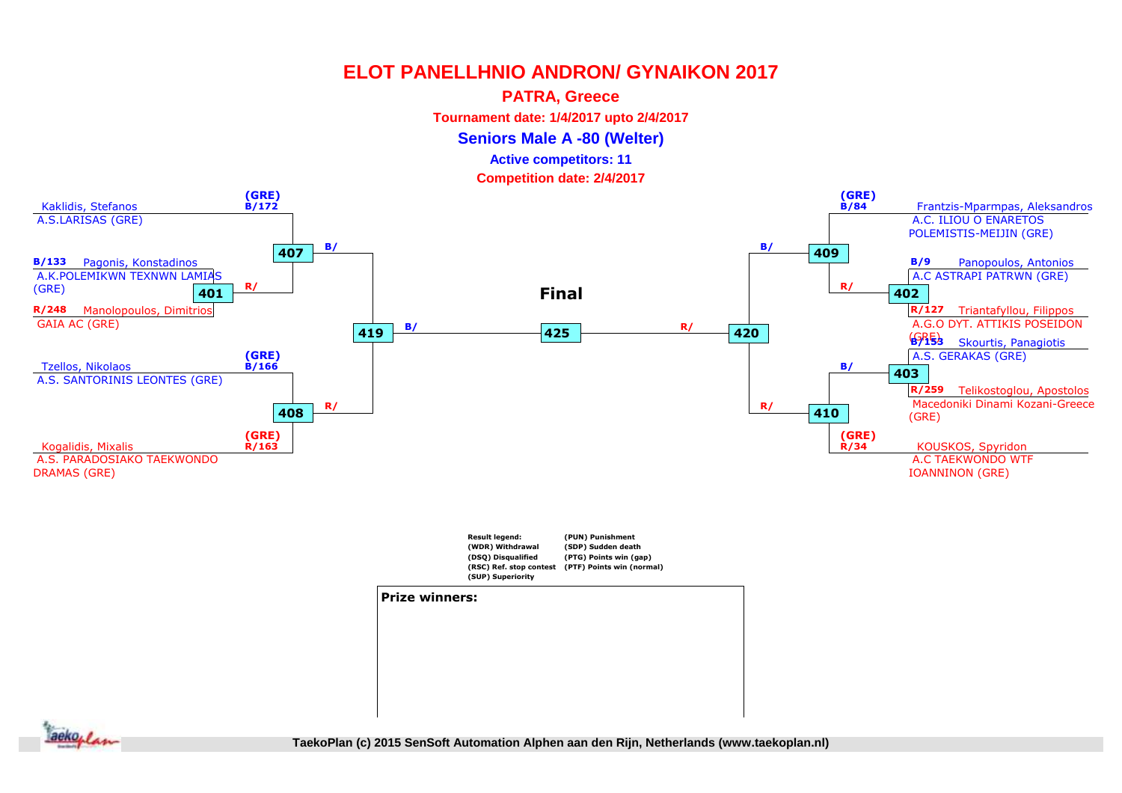### **PATRA, Greece**

**Tournament date: 1/4/2017 upto 2/4/2017**

**Seniors Male A -80 (Welter)**

### **Active competitors: 11**

**Competition date: 2/4/2017**



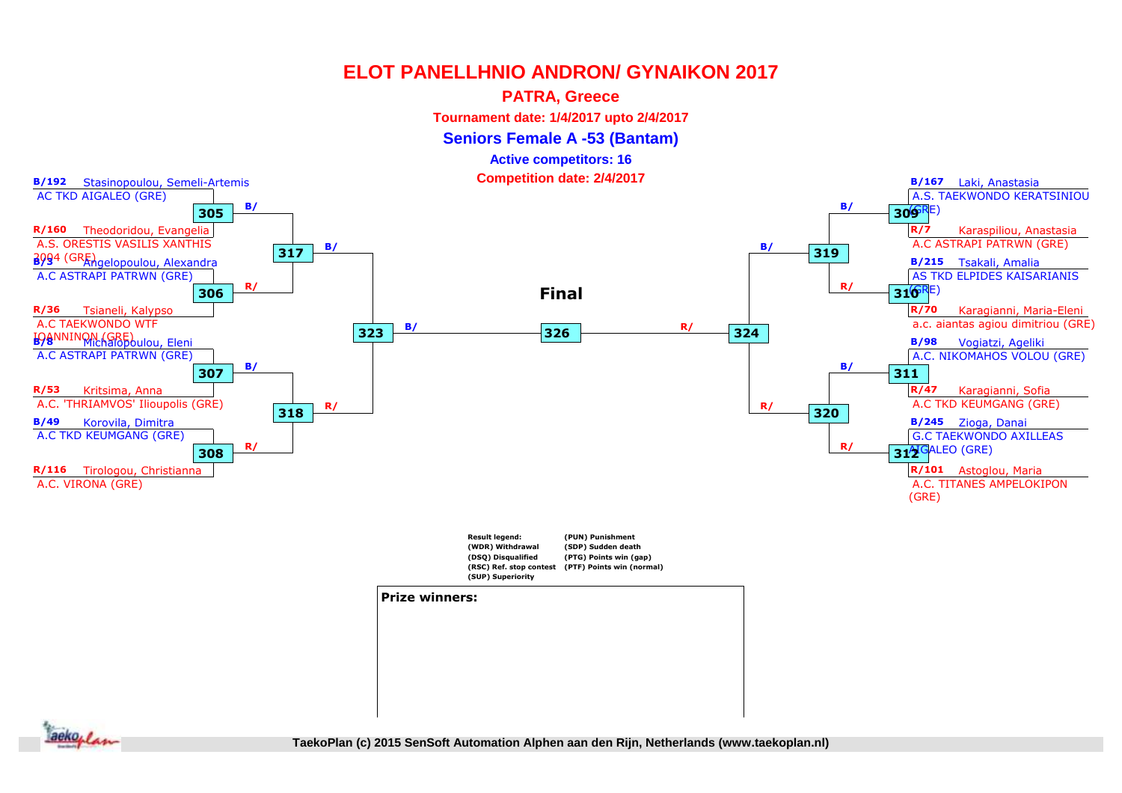### **PATRA, Greece**

**Tournament date: 1/4/2017 upto 2/4/2017**

**Seniors Female A -53 (Bantam)**

**Active competitors: 16**

**Competition date: 2/4/2017**



**1st rnd**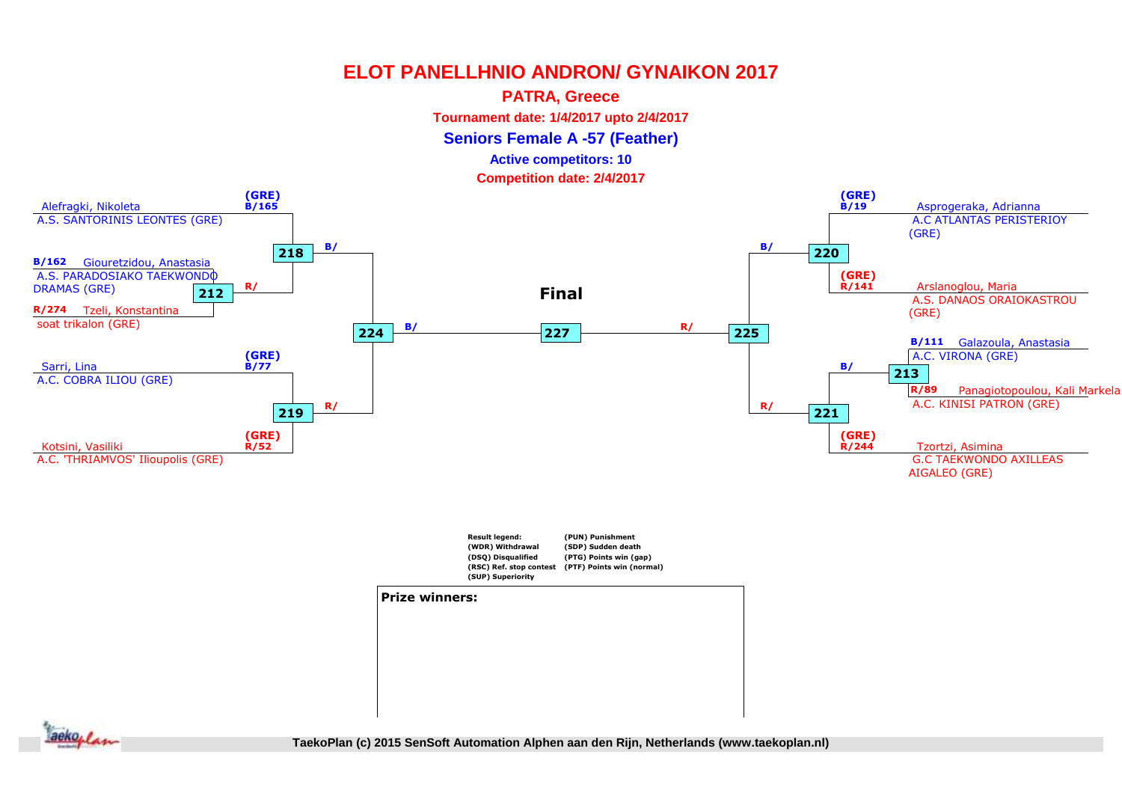### **PATRA, Greece**

**Tournament date: 1/4/2017 upto 2/4/2017**

**Seniors Female A -57 (Feather)**

#### **Active competitors: 10**

**Competition date: 2/4/2017**



#### **Prize winners:**

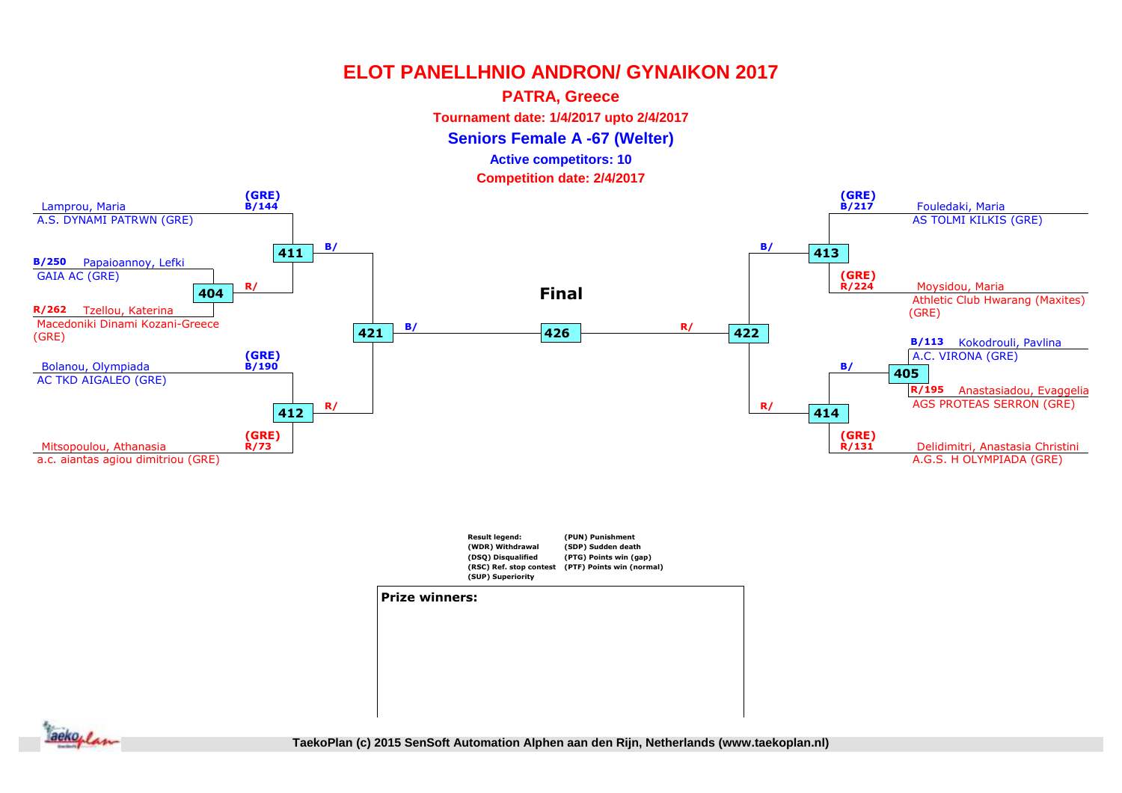### **PATRA, Greece**

**Tournament date: 1/4/2017 upto 2/4/2017**

**Seniors Female A -67 (Welter)**

### **Active competitors: 10**

**Competition date: 2/4/2017**





#### **Prize winners:**



**1st rnd QF SF SF Final TaekoPlan (c) 2015 SenSoft Automation Alphen aan den Rijn, Netherlands (www.taekoplan.nl)**